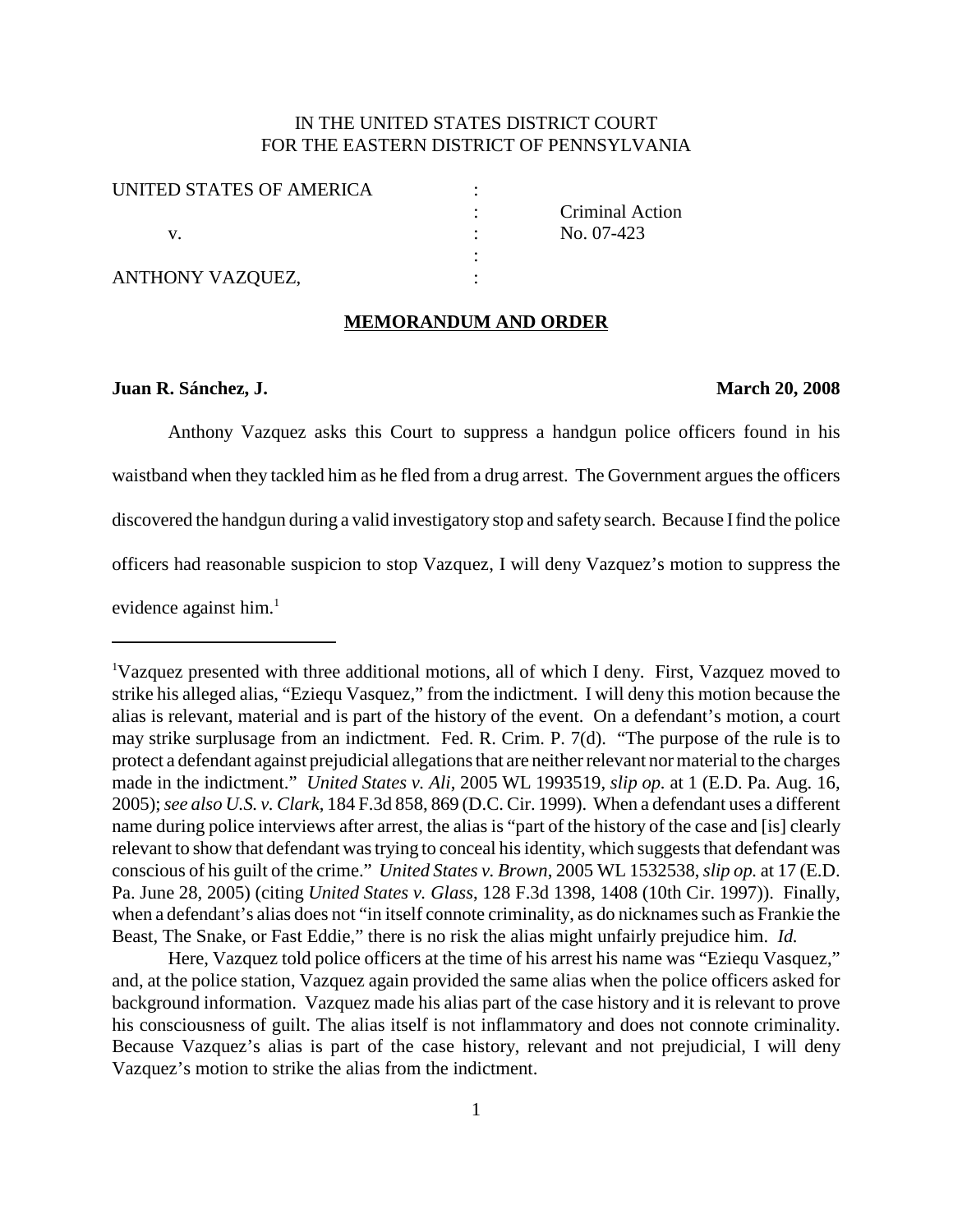# IN THE UNITED STATES DISTRICT COURT FOR THE EASTERN DISTRICT OF PENNSYLVANIA

| UNITED STATES OF AMERICA |  |
|--------------------------|--|
|                          |  |
|                          |  |
|                          |  |
| ANTHONY VAZQUEZ,         |  |

: Criminal Action No. 07-423

#### **MEMORANDUM AND ORDER**

### **Juan R. Sánchez, J. March 20, 2008**

Anthony Vazquez asks this Court to suppress a handgun police officers found in his waistband when they tackled him as he fled from a drug arrest. The Government argues the officers discovered the handgun during a valid investigatory stop and safety search. Because Ifind the police officers had reasonable suspicion to stop Vazquez, I will deny Vazquez's motion to suppress the evidence against him. 1

Here, Vazquez told police officers at the time of his arrest his name was "Eziequ Vasquez," and, at the police station, Vazquez again provided the same alias when the police officers asked for background information. Vazquez made his alias part of the case history and it is relevant to prove his consciousness of guilt. The alias itself is not inflammatory and does not connote criminality. Because Vazquez's alias is part of the case history, relevant and not prejudicial, I will deny Vazquez's motion to strike the alias from the indictment.

<sup>&</sup>lt;sup>1</sup>Vazquez presented with three additional motions, all of which I deny. First, Vazquez moved to strike his alleged alias, "Eziequ Vasquez," from the indictment. I will deny this motion because the alias is relevant, material and is part of the history of the event. On a defendant's motion, a court may strike surplusage from an indictment. Fed. R. Crim. P. 7(d). "The purpose of the rule is to protect a defendant against prejudicial allegations that are neither relevant nor material to the charges made in the indictment." *United States v. Ali*, 2005 WL 1993519, *slip op.* at 1 (E.D. Pa. Aug. 16, 2005);*see also U.S. v. Clark*, 184 F.3d 858, 869 (D.C. Cir. 1999). When a defendant uses a different name during police interviews after arrest, the alias is "part of the history of the case and [is] clearly relevant to show that defendant was trying to conceal his identity, which suggests that defendant was conscious of his guilt of the crime." *United States v. Brown*, 2005 WL 1532538,*slip op.* at 17 (E.D. Pa. June 28, 2005) (citing *United States v. Glass*, 128 F.3d 1398, 1408 (10th Cir. 1997)). Finally, when a defendant's alias does not "in itself connote criminality, as do nicknames such as Frankie the Beast, The Snake, or Fast Eddie," there is no risk the alias might unfairly prejudice him. *Id.*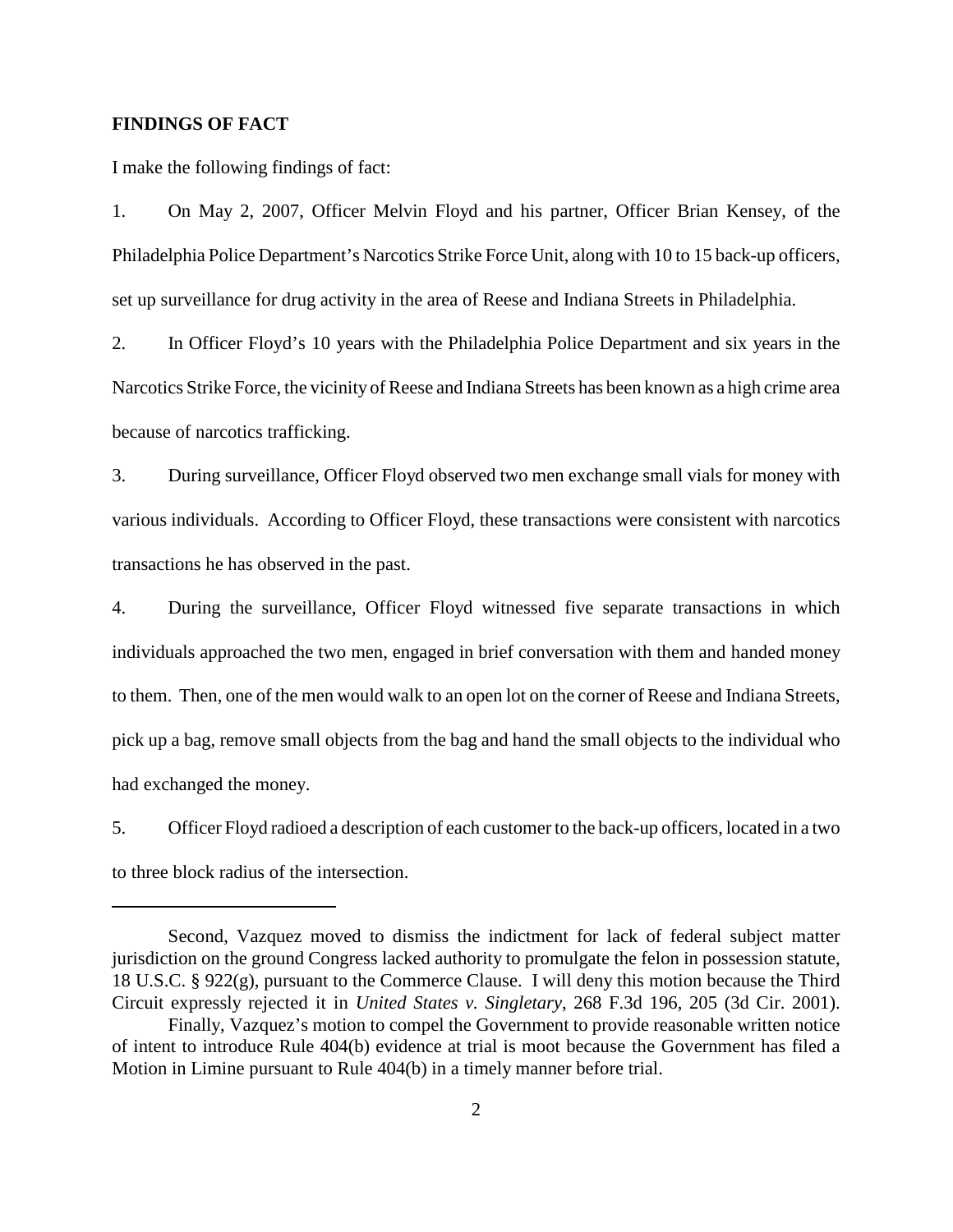## **FINDINGS OF FACT**

I make the following findings of fact:

1. On May 2, 2007, Officer Melvin Floyd and his partner, Officer Brian Kensey, of the Philadelphia Police Department's Narcotics Strike Force Unit, along with 10 to 15 back-up officers, set up surveillance for drug activity in the area of Reese and Indiana Streets in Philadelphia.

2. In Officer Floyd's 10 years with the Philadelphia Police Department and six years in the Narcotics Strike Force, the vicinity of Reese and Indiana Streets has been known as a high crime area because of narcotics trafficking.

3. During surveillance, Officer Floyd observed two men exchange small vials for money with various individuals. According to Officer Floyd, these transactions were consistent with narcotics transactions he has observed in the past.

4. During the surveillance, Officer Floyd witnessed five separate transactions in which individuals approached the two men, engaged in brief conversation with them and handed money to them. Then, one of the men would walk to an open lot on the corner of Reese and Indiana Streets, pick up a bag, remove small objects from the bag and hand the small objects to the individual who had exchanged the money.

5. Officer Floyd radioed a description of each customer to the back-up officers, located in a two to three block radius of the intersection.

Second, Vazquez moved to dismiss the indictment for lack of federal subject matter jurisdiction on the ground Congress lacked authority to promulgate the felon in possession statute, 18 U.S.C. § 922(g), pursuant to the Commerce Clause. I will deny this motion because the Third Circuit expressly rejected it in *United States v. Singletary*, 268 F.3d 196, 205 (3d Cir. 2001).

Finally, Vazquez's motion to compel the Government to provide reasonable written notice of intent to introduce Rule 404(b) evidence at trial is moot because the Government has filed a Motion in Limine pursuant to Rule 404(b) in a timely manner before trial.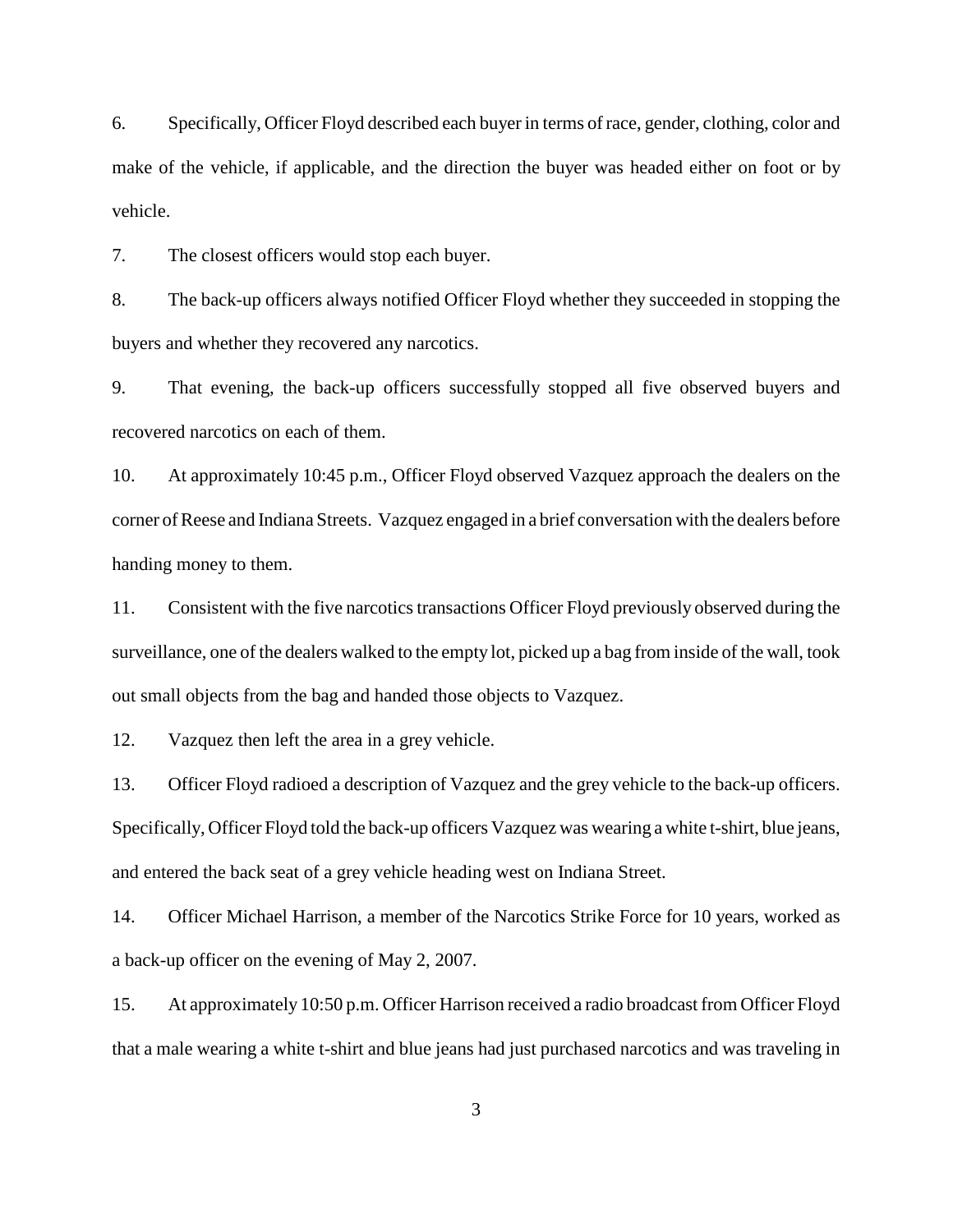6. Specifically, Officer Floyd described each buyer in terms of race, gender, clothing, color and make of the vehicle, if applicable, and the direction the buyer was headed either on foot or by vehicle.

7. The closest officers would stop each buyer.

8. The back-up officers always notified Officer Floyd whether they succeeded in stopping the buyers and whether they recovered any narcotics.

9. That evening, the back-up officers successfully stopped all five observed buyers and recovered narcotics on each of them.

10. At approximately 10:45 p.m., Officer Floyd observed Vazquez approach the dealers on the corner of Reese and Indiana Streets. Vazquez engaged in a brief conversation with the dealers before handing money to them.

11. Consistent with the five narcotics transactions Officer Floyd previously observed during the surveillance, one of the dealers walked to the empty lot, picked up a bag from inside of the wall, took out small objects from the bag and handed those objects to Vazquez.

12. Vazquez then left the area in a grey vehicle.

13. Officer Floyd radioed a description of Vazquez and the grey vehicle to the back-up officers. Specifically, Officer Floyd told the back-up officers Vazquez was wearing a white t-shirt, blue jeans, and entered the back seat of a grey vehicle heading west on Indiana Street.

14. Officer Michael Harrison, a member of the Narcotics Strike Force for 10 years, worked as a back-up officer on the evening of May 2, 2007.

15. At approximately 10:50 p.m. Officer Harrison received a radio broadcast from Officer Floyd that a male wearing a white t-shirt and blue jeans had just purchased narcotics and was traveling in

3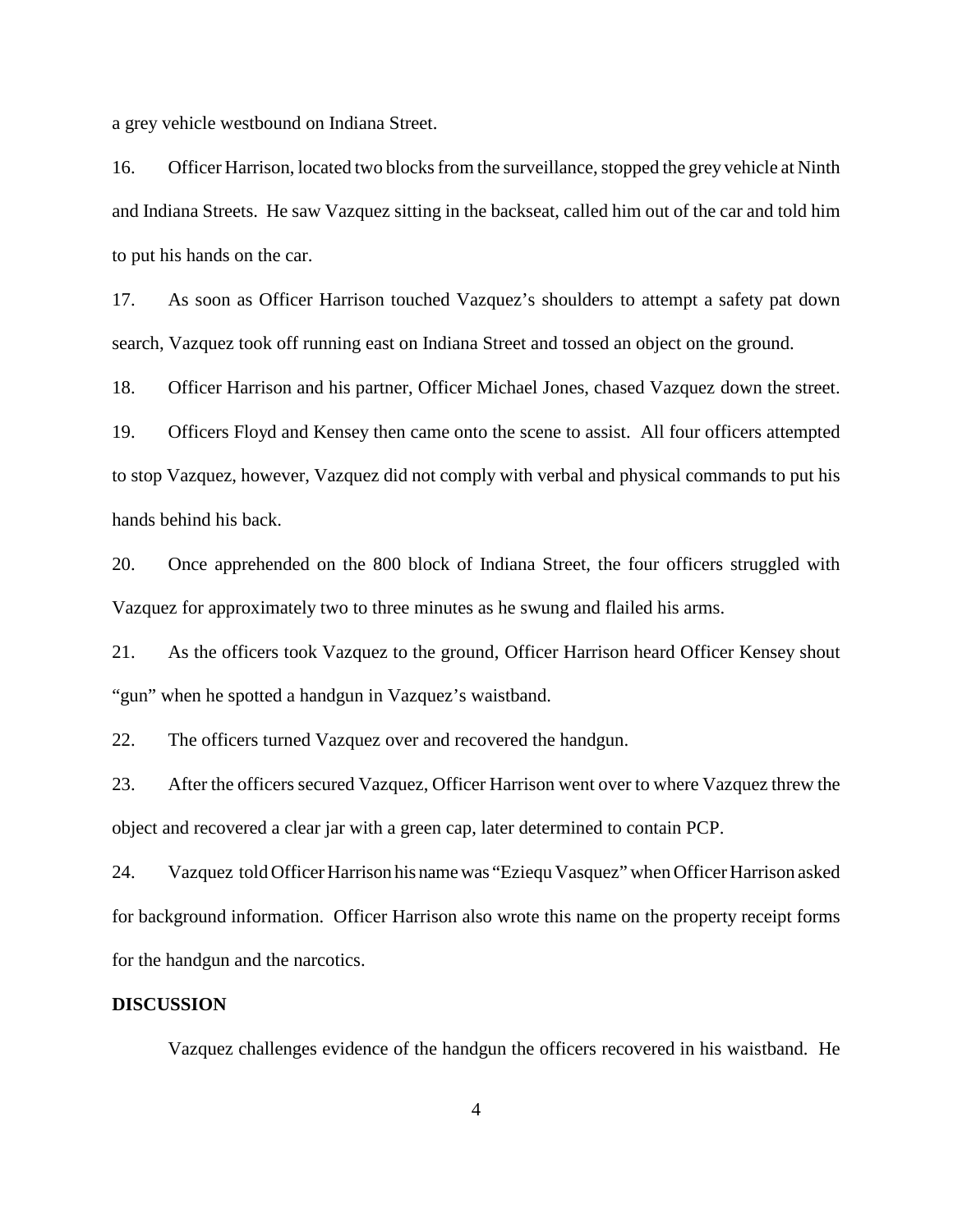a grey vehicle westbound on Indiana Street.

16. Officer Harrison, located two blocks from the surveillance, stopped the grey vehicle at Ninth and Indiana Streets. He saw Vazquez sitting in the backseat, called him out of the car and told him to put his hands on the car.

17. As soon as Officer Harrison touched Vazquez's shoulders to attempt a safety pat down search, Vazquez took off running east on Indiana Street and tossed an object on the ground.

18. Officer Harrison and his partner, Officer Michael Jones, chased Vazquez down the street.

19. Officers Floyd and Kensey then came onto the scene to assist. All four officers attempted to stop Vazquez, however, Vazquez did not comply with verbal and physical commands to put his hands behind his back.

20. Once apprehended on the 800 block of Indiana Street, the four officers struggled with Vazquez for approximately two to three minutes as he swung and flailed his arms.

21. As the officers took Vazquez to the ground, Officer Harrison heard Officer Kensey shout "gun" when he spotted a handgun in Vazquez's waistband.

22. The officers turned Vazquez over and recovered the handgun.

23. After the officers secured Vazquez, Officer Harrison went over to where Vazquez threw the object and recovered a clear jar with a green cap, later determined to contain PCP.

24. Vazquez told Officer Harrison his namewas "Eziequ Vasquez" when Officer Harrison asked for background information. Officer Harrison also wrote this name on the property receipt forms for the handgun and the narcotics.

#### **DISCUSSION**

Vazquez challenges evidence of the handgun the officers recovered in his waistband. He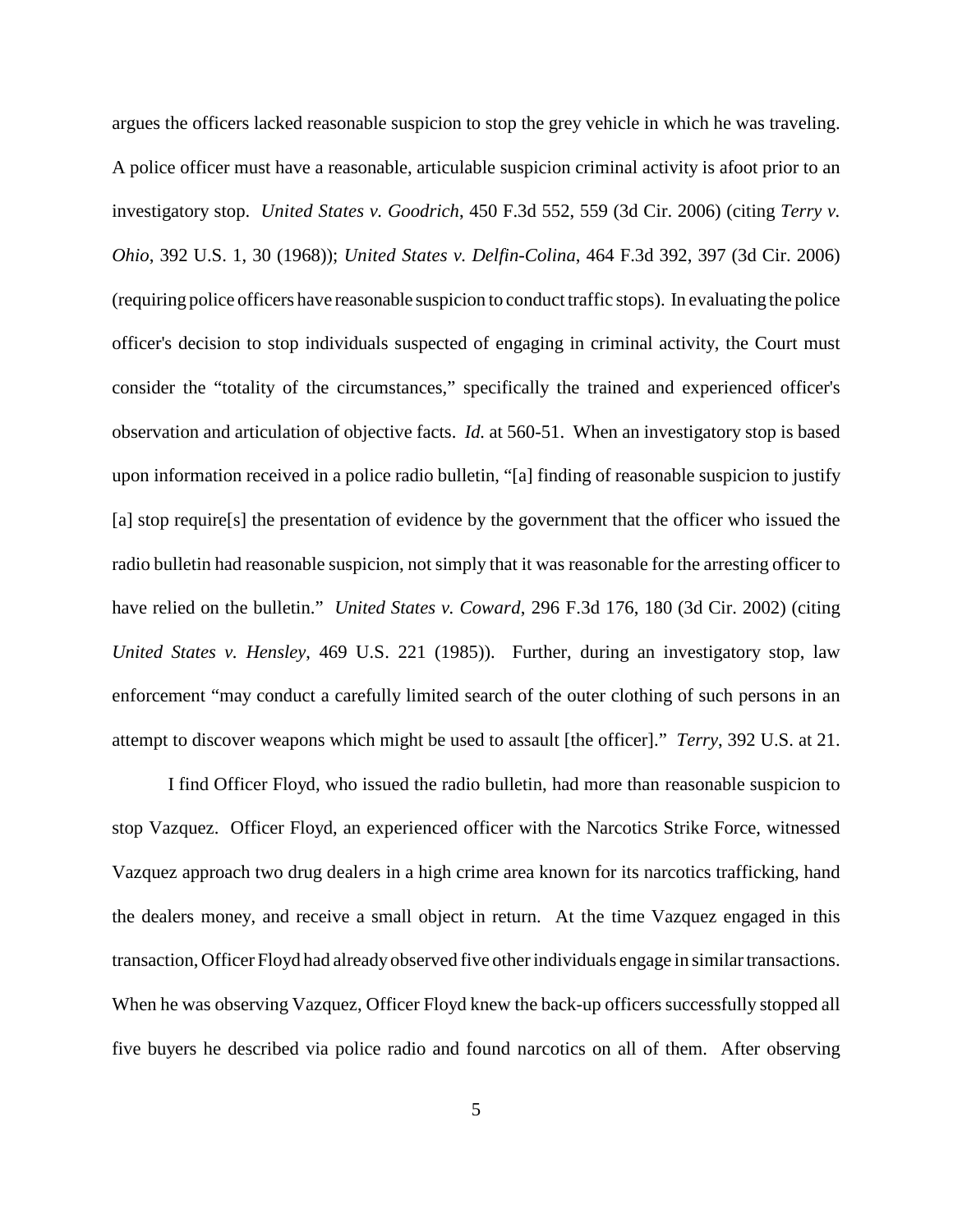argues the officers lacked reasonable suspicion to stop the grey vehicle in which he was traveling. A police officer must have a reasonable, articulable suspicion criminal activity is afoot prior to an investigatory stop. *United States v. Goodrich*, 450 F.3d 552, 559 (3d Cir. 2006) (citing *Terry v. Ohio*, 392 U.S. 1, 30 (1968)); *United States v. Delfin-Colina*, 464 F.3d 392, 397 (3d Cir. 2006) (requiring police officers have reasonable suspicion to conduct traffic stops). In evaluating the police officer's decision to stop individuals suspected of engaging in criminal activity, the Court must consider the "totality of the circumstances," specifically the trained and experienced officer's observation and articulation of objective facts. *Id.* at 560-51. When an investigatory stop is based upon information received in a police radio bulletin, "[a] finding of reasonable suspicion to justify [a] stop require[s] the presentation of evidence by the government that the officer who issued the radio bulletin had reasonable suspicion, not simply that it was reasonable for the arresting officer to have relied on the bulletin." *United States v. Coward*, 296 F.3d 176, 180 (3d Cir. 2002) (citing *United States v. Hensley*, 469 U.S. 221 (1985)). Further, during an investigatory stop, law enforcement "may conduct a carefully limited search of the outer clothing of such persons in an attempt to discover weapons which might be used to assault [the officer]." *Terry*, 392 U.S. at 21.

I find Officer Floyd, who issued the radio bulletin, had more than reasonable suspicion to stop Vazquez. Officer Floyd, an experienced officer with the Narcotics Strike Force, witnessed Vazquez approach two drug dealers in a high crime area known for its narcotics trafficking, hand the dealers money, and receive a small object in return. At the time Vazquez engaged in this transaction, Officer Floyd had already observed five other individuals engage in similar transactions. When he was observing Vazquez, Officer Floyd knew the back-up officers successfully stopped all five buyers he described via police radio and found narcotics on all of them. After observing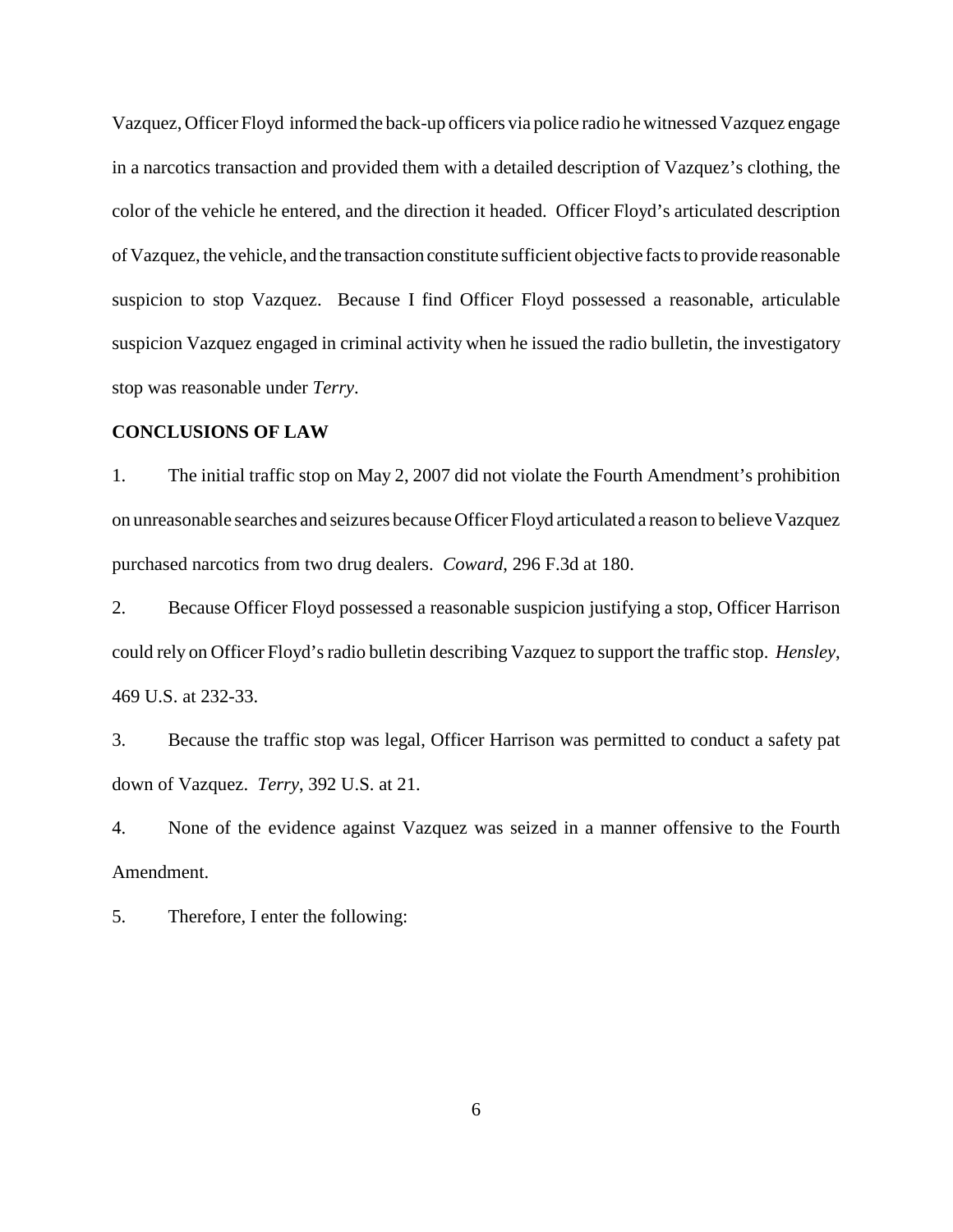Vazquez, Officer Floyd informed the back-up officers via police radio he witnessed Vazquez engage in a narcotics transaction and provided them with a detailed description of Vazquez's clothing, the color of the vehicle he entered, and the direction it headed. Officer Floyd's articulated description of Vazquez, the vehicle, and the transaction constitute sufficient objective facts to provide reasonable suspicion to stop Vazquez. Because I find Officer Floyd possessed a reasonable, articulable suspicion Vazquez engaged in criminal activity when he issued the radio bulletin, the investigatory stop was reasonable under *Terry*.

## **CONCLUSIONS OF LAW**

1. The initial traffic stop on May 2, 2007 did not violate the Fourth Amendment's prohibition on unreasonable searches and seizures because Officer Floyd articulated a reason to believe Vazquez purchased narcotics from two drug dealers. *Coward*, 296 F.3d at 180.

2. Because Officer Floyd possessed a reasonable suspicion justifying a stop, Officer Harrison could rely on Officer Floyd'sradio bulletin describing Vazquez to support the traffic stop. *Hensley*, 469 U.S. at 232-33.

3. Because the traffic stop was legal, Officer Harrison was permitted to conduct a safety pat down of Vazquez. *Terry*, 392 U.S. at 21.

4. None of the evidence against Vazquez was seized in a manner offensive to the Fourth Amendment.

5. Therefore, I enter the following: